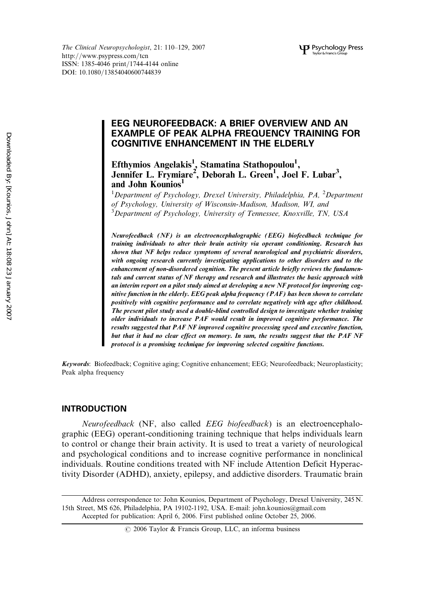The Clinical Neuropsychologist, 21: 110–129, 2007 http://www.psypress.com/tcn ISSN: 1385-4046 print/1744-4144 online DOI: 10.1080/13854040600744839

# EEG NEUROFEEDBACK: A BRIEF OVERVIEW AND AN EXAMPLE OF PEAK ALPHA FREQUENCY TRAINING FOR COGNITIVE ENHANCEMENT IN THE ELDERLY

Efthymios Angelakis<sup>1</sup>, Stamatina Stathopoulou<sup>1</sup>, Jennifer L. Frymiare<sup>2</sup>, Deborah L. Green<sup>1</sup>, Joel F. Lubar<sup>3</sup>, and John Kounios<sup>1</sup>

<sup>1</sup>Department of Psychology, Drexel University, Philadelphia, PA, <sup>2</sup>Department of Psychology, University of Wisconsin-Madison, Madison, WI, and <sup>3</sup>Department of Psychology, University of Tennessee, Knoxville, TN, USA

Neurofeedback (NF) is an electroencephalographic (EEG) biofeedback technique for training individuals to alter their brain activity via operant conditioning. Research has shown that NF helps reduce symptoms of several neurological and psychiatric disorders, with ongoing research currently investigating applications to other disorders and to the enhancement of non-disordered cognition. The present article briefly reviews the fundamentals and current status of NF therapy and research and illustrates the basic approach with an interim report on a pilot study aimed at developing a new NF protocol for improving cognitive function in the elderly. EEG peak alpha frequency (PAF) has been shown to correlate positively with cognitive performance and to correlate negatively with age after childhood. The present pilot study used a double-blind controlled design to investigate whether training older individuals to increase PAF would result in improved cognitive performance. The results suggested that PAF NF improved cognitive processing speed and executive function, but that it had no clear effect on memory. In sum, the results suggest that the PAF NF protocol is a promising technique for improving selected cognitive functions.

Keywords: Biofeedback; Cognitive aging; Cognitive enhancement; EEG; Neurofeedback; Neuroplasticity; Peak alpha frequency

### INTRODUCTION

Neurofeedback (NF, also called EEG biofeedback) is an electroencephalographic (EEG) operant-conditioning training technique that helps individuals learn to control or change their brain activity. It is used to treat a variety of neurological and psychological conditions and to increase cognitive performance in nonclinical individuals. Routine conditions treated with NF include Attention Deficit Hyperactivity Disorder (ADHD), anxiety, epilepsy, and addictive disorders. Traumatic brain

 $\circ$  2006 Taylor & Francis Group, LLC, an informa business

Address correspondence to: John Kounios, Department of Psychology, Drexel University, 245 N. 15th Street, MS 626, Philadelphia, PA 19102-1192, USA. E-mail: john.kounios@gmail.com Accepted for publication: April 6, 2006. First published online October 25, 2006.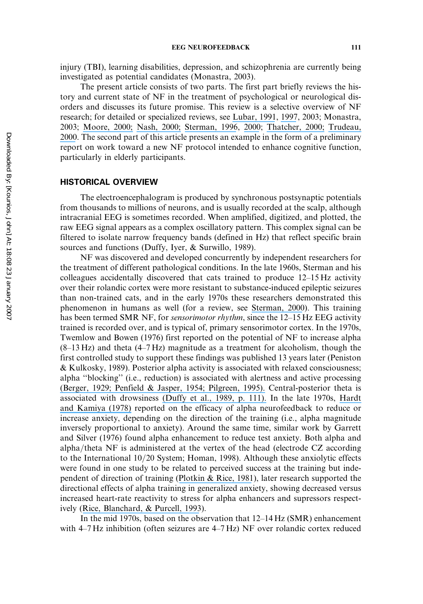injury (TBI), learning disabilities, depression, and schizophrenia are currently being investigated as potential candidates (Monastra, 2003).

The present article consists of two parts. The first part briefly reviews the history and current state of NF in the treatment of psychological or neurological disorders and discusses its future promise. This review is a selective overview of NF research; for detailed or specialized reviews, see [Lubar, 1991](https://www.researchgate.net/publication/21224249_Discourse_on_the_development_of_EEG_diagnostics_and_biofeedback_for_attention-deficithyperactivity_disorders?el=1_x_8&enrichId=rgreq-64016401d63b73918069ff9b8e8e6d4a-XXX&enrichSource=Y292ZXJQYWdlOzY0NDE2MzI7QVM6MTAxNjc4MDgyNjkxMDg5QDE0MDEyNTMzNTI4ODE=), [1997](https://www.researchgate.net/publication/13886363_Neocortical_Dynamics_Implications_for_Understanding_the_Role_of_Neurofeedback_and_Related_Techniques_for_the_Enhancement_of_Attention?el=1_x_8&enrichId=rgreq-64016401d63b73918069ff9b8e8e6d4a-XXX&enrichSource=Y292ZXJQYWdlOzY0NDE2MzI7QVM6MTAxNjc4MDgyNjkxMDg5QDE0MDEyNTMzNTI4ODE=), 2003; Monastra, 2003; [Moore, 2000;](https://www.researchgate.net/publication/12676826_A_Review_of_EEG_Biofeedback_Treatment_of_Anxiety_Disorders?el=1_x_8&enrichId=rgreq-64016401d63b73918069ff9b8e8e6d4a-XXX&enrichSource=Y292ZXJQYWdlOzY0NDE2MzI7QVM6MTAxNjc4MDgyNjkxMDg5QDE0MDEyNTMzNTI4ODE=) [Nash, 2000;](https://www.researchgate.net/publication/12676830_Treatment_of_Attention_Deficit_Hyperactivity_Disorder_with_Neurotherapy?el=1_x_8&enrichId=rgreq-64016401d63b73918069ff9b8e8e6d4a-XXX&enrichSource=Y292ZXJQYWdlOzY0NDE2MzI7QVM6MTAxNjc4MDgyNjkxMDg5QDE0MDEyNTMzNTI4ODE=) [Sterman, 1996](https://www.researchgate.net/publication/14372694_Physiological_origins_and_functional_correlates_of_EEG_rhythmic_activities_implications_for_self-regulation?el=1_x_8&enrichId=rgreq-64016401d63b73918069ff9b8e8e6d4a-XXX&enrichSource=Y292ZXJQYWdlOzY0NDE2MzI7QVM6MTAxNjc4MDgyNjkxMDg5QDE0MDEyNTMzNTI4ODE=), [2000](https://www.researchgate.net/publication/12676832_Basic_Concepts_and_Clinical_Findings_in_the_Treatment_of_Seizure_Disorders_with_EEG_Operant_Conditioning?el=1_x_8&enrichId=rgreq-64016401d63b73918069ff9b8e8e6d4a-XXX&enrichSource=Y292ZXJQYWdlOzY0NDE2MzI7QVM6MTAxNjc4MDgyNjkxMDg5QDE0MDEyNTMzNTI4ODE=); [Thatcher, 2000;](https://www.researchgate.net/publication/200025206_EEG_Operant_Conditioning_Biofeedback_and_Traumatic_Brain_Injury?el=1_x_8&enrichId=rgreq-64016401d63b73918069ff9b8e8e6d4a-XXX&enrichSource=Y292ZXJQYWdlOzY0NDE2MzI7QVM6MTAxNjc4MDgyNjkxMDg5QDE0MDEyNTMzNTI4ODE=) [Trudeau,](https://www.researchgate.net/publication/12676828_The_Treatment_of_Addictive_Disorders_by_Brain_Wave_Biofeedback_A_Review_and_Suggestions_for_Future_Research?el=1_x_8&enrichId=rgreq-64016401d63b73918069ff9b8e8e6d4a-XXX&enrichSource=Y292ZXJQYWdlOzY0NDE2MzI7QVM6MTAxNjc4MDgyNjkxMDg5QDE0MDEyNTMzNTI4ODE=) [2000](https://www.researchgate.net/publication/12676828_The_Treatment_of_Addictive_Disorders_by_Brain_Wave_Biofeedback_A_Review_and_Suggestions_for_Future_Research?el=1_x_8&enrichId=rgreq-64016401d63b73918069ff9b8e8e6d4a-XXX&enrichSource=Y292ZXJQYWdlOzY0NDE2MzI7QVM6MTAxNjc4MDgyNjkxMDg5QDE0MDEyNTMzNTI4ODE=). The second part of this article presents an example in the form of a preliminary report on work toward a new NF protocol intended to enhance cognitive function, particularly in elderly participants.

# HISTORICAL OVERVIEW

The electroencephalogram is produced by synchronous postsynaptic potentials from thousands to millions of neurons, and is usually recorded at the scalp, although intracranial EEG is sometimes recorded. When amplified, digitized, and plotted, the raw EEG signal appears as a complex oscillatory pattern. This complex signal can be filtered to isolate narrow frequency bands (defined in Hz) that reflect specific brain sources and functions (Duffy, Iyer, & Surwillo, 1989).

NF was discovered and developed concurrently by independent researchers for the treatment of different pathological conditions. In the late 1960s, Sterman and his colleagues accidentally discovered that cats trained to produce 12–15 Hz activity over their rolandic cortex were more resistant to substance-induced epileptic seizures than non-trained cats, and in the early 1970s these researchers demonstrated this phenomenon in humans as well (for a review, see [Sterman, 2000](https://www.researchgate.net/publication/12676832_Basic_Concepts_and_Clinical_Findings_in_the_Treatment_of_Seizure_Disorders_with_EEG_Operant_Conditioning?el=1_x_8&enrichId=rgreq-64016401d63b73918069ff9b8e8e6d4a-XXX&enrichSource=Y292ZXJQYWdlOzY0NDE2MzI7QVM6MTAxNjc4MDgyNjkxMDg5QDE0MDEyNTMzNTI4ODE=)). This training has been termed SMR NF, for *sensorimotor rhythm*, since the 12–15 Hz EEG activity trained is recorded over, and is typical of, primary sensorimotor cortex. In the 1970s, Twemlow and Bowen (1976) first reported on the potential of NF to increase alpha  $(8-13 \text{ Hz})$  and theta  $(4-7 \text{ Hz})$  magnitude as a treatment for alcoholism, though the first controlled study to support these findings was published 13 years later (Peniston & Kulkosky, 1989). Posterior alpha activity is associated with relaxed consciousness; alpha ''blocking'' (i.e., reduction) is associated with alertness and active processing [\(Berger, 1929; Penfield & Jasper, 1954; Pilgreen, 1995\).](https://www.researchgate.net/publication/225988584_Uber_das_Elektrenkephalogramm_des_Menschen?el=1_x_8&enrichId=rgreq-64016401d63b73918069ff9b8e8e6d4a-XXX&enrichSource=Y292ZXJQYWdlOzY0NDE2MzI7QVM6MTAxNjc4MDgyNjkxMDg5QDE0MDEyNTMzNTI4ODE=) Central-posterior theta is associated with drowsiness [\(Duffy et al., 1989, p. 111\).](https://www.researchgate.net/publication/24894017_Clinical_Electroencephalography_and_Topographic_Brain_Mapping_Technology_and_Practice?el=1_x_8&enrichId=rgreq-64016401d63b73918069ff9b8e8e6d4a-XXX&enrichSource=Y292ZXJQYWdlOzY0NDE2MzI7QVM6MTAxNjc4MDgyNjkxMDg5QDE0MDEyNTMzNTI4ODE=) In the late 1970s, [Hardt](https://www.researchgate.net/publication/22477949_Anxiety_Change_Through_Electroencepha-Lographic_Alpha_Feedback_Seen_Only_in_High_Anxiety_Subjects?el=1_x_8&enrichId=rgreq-64016401d63b73918069ff9b8e8e6d4a-XXX&enrichSource=Y292ZXJQYWdlOzY0NDE2MzI7QVM6MTAxNjc4MDgyNjkxMDg5QDE0MDEyNTMzNTI4ODE=) [and Kamiya \(1978\)](https://www.researchgate.net/publication/22477949_Anxiety_Change_Through_Electroencepha-Lographic_Alpha_Feedback_Seen_Only_in_High_Anxiety_Subjects?el=1_x_8&enrichId=rgreq-64016401d63b73918069ff9b8e8e6d4a-XXX&enrichSource=Y292ZXJQYWdlOzY0NDE2MzI7QVM6MTAxNjc4MDgyNjkxMDg5QDE0MDEyNTMzNTI4ODE=) reported on the efficacy of alpha neurofeedback to reduce or increase anxiety, depending on the direction of the training (i.e., alpha magnitude inversely proportional to anxiety). Around the same time, similar work by Garrett and Silver (1976) found alpha enhancement to reduce test anxiety. Both alpha and alpha/theta  $NF$  is administered at the vertex of the head (electrode CZ according to the International  $10/20$  System; Homan, 1998). Although these anxiolytic effects were found in one study to be related to perceived success at the training but independent of direction of training ([Plotkin & Rice, 1981](https://www.researchgate.net/publication/15935141_Biofeedback_as_a_placebo_Anxiety_reduction_facilitated_by_training_in_either_suppression_or_enhancement_of_alpha_brainwaves?el=1_x_8&enrichId=rgreq-64016401d63b73918069ff9b8e8e6d4a-XXX&enrichSource=Y292ZXJQYWdlOzY0NDE2MzI7QVM6MTAxNjc4MDgyNjkxMDg5QDE0MDEyNTMzNTI4ODE=)), later research supported the directional effects of alpha training in generalized anxiety, showing decreased versus increased heart-rate reactivity to stress for alpha enhancers and supressors respectively ([Rice, Blanchard, & Purcell, 1993](https://www.researchgate.net/publication/14875340_Biofeedback_treatments_of_generalized_anxiety_disorder_preliminary_results?el=1_x_8&enrichId=rgreq-64016401d63b73918069ff9b8e8e6d4a-XXX&enrichSource=Y292ZXJQYWdlOzY0NDE2MzI7QVM6MTAxNjc4MDgyNjkxMDg5QDE0MDEyNTMzNTI4ODE=)).

In the mid 1970s, based on the observation that 12–14 Hz (SMR) enhancement with 4–7 Hz inhibition (often seizures are 4–7 Hz) NF over rolandic cortex reduced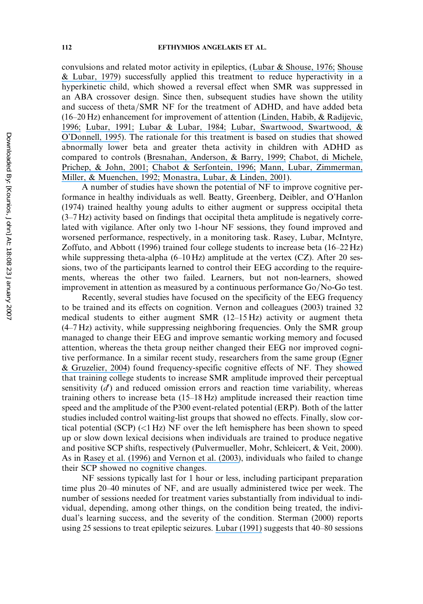convulsions and related motor activity in epileptics, ([Lubar & Shouse, 1976;](https://www.researchgate.net/publication/226244857_EEG_and_behavioral_changes_in_a_hyperkinetic_child_concurrent_with_training_of_the_sensorimotor_rhythm_SMR?el=1_x_8&enrichId=rgreq-64016401d63b73918069ff9b8e8e6d4a-XXX&enrichSource=Y292ZXJQYWdlOzY0NDE2MzI7QVM6MTAxNjc4MDgyNjkxMDg5QDE0MDEyNTMzNTI4ODE=) [Shouse](https://www.researchgate.net/publication/22614764_Operant_conditioning_of_EEG_rhythms_and_Ritalin_in_the_treatment_of_hyperkinesias?el=1_x_8&enrichId=rgreq-64016401d63b73918069ff9b8e8e6d4a-XXX&enrichSource=Y292ZXJQYWdlOzY0NDE2MzI7QVM6MTAxNjc4MDgyNjkxMDg5QDE0MDEyNTMzNTI4ODE=) [& Lubar, 1979](https://www.researchgate.net/publication/22614764_Operant_conditioning_of_EEG_rhythms_and_Ritalin_in_the_treatment_of_hyperkinesias?el=1_x_8&enrichId=rgreq-64016401d63b73918069ff9b8e8e6d4a-XXX&enrichSource=Y292ZXJQYWdlOzY0NDE2MzI7QVM6MTAxNjc4MDgyNjkxMDg5QDE0MDEyNTMzNTI4ODE=)) successfully applied this treatment to reduce hyperactivity in a hyperkinetic child, which showed a reversal effect when SMR was suppressed in an ABA crossover design. Since then, subsequent studies have shown the utility and success of theta/SMR NF for the treatment of ADHD, and have added beta (16–20 Hz) enhancement for improvement of attention ([Linden, Habib, & Radijevic,](https://www.researchgate.net/publication/14372695_A_Controlled_Study_of_the_Effects_of_EEG_Biofeedback_on_Cognition_and_Behavior_of_Children_with_Attention_Deficit_Disorder_and_Learning_Disabilities_I?el=1_x_8&enrichId=rgreq-64016401d63b73918069ff9b8e8e6d4a-XXX&enrichSource=Y292ZXJQYWdlOzY0NDE2MzI7QVM6MTAxNjc4MDgyNjkxMDg5QDE0MDEyNTMzNTI4ODE=) [1996;](https://www.researchgate.net/publication/14372695_A_Controlled_Study_of_the_Effects_of_EEG_Biofeedback_on_Cognition_and_Behavior_of_Children_with_Attention_Deficit_Disorder_and_Learning_Disabilities_I?el=1_x_8&enrichId=rgreq-64016401d63b73918069ff9b8e8e6d4a-XXX&enrichSource=Y292ZXJQYWdlOzY0NDE2MzI7QVM6MTAxNjc4MDgyNjkxMDg5QDE0MDEyNTMzNTI4ODE=) [Lubar, 1991;](https://www.researchgate.net/publication/21224249_Discourse_on_the_development_of_EEG_diagnostics_and_biofeedback_for_attention-deficithyperactivity_disorders?el=1_x_8&enrichId=rgreq-64016401d63b73918069ff9b8e8e6d4a-XXX&enrichSource=Y292ZXJQYWdlOzY0NDE2MzI7QVM6MTAxNjc4MDgyNjkxMDg5QDE0MDEyNTMzNTI4ODE=) [Lubar & Lubar, 1984;](https://www.researchgate.net/publication/16707978_Electroencephalographic_biofeedback_of_SMR_and_beta_for_treatment_of_attention_deficit_disorders_in_a_clinical_setting?el=1_x_8&enrichId=rgreq-64016401d63b73918069ff9b8e8e6d4a-XXX&enrichSource=Y292ZXJQYWdlOzY0NDE2MzI7QVM6MTAxNjc4MDgyNjkxMDg5QDE0MDEyNTMzNTI4ODE=) [Lubar, Swartwood, Swartwood, &](https://www.researchgate.net/publication/15412127_Evaluation_of_the_effectiveness_of_EEG_neurofeedback_training_for_ADHD_in_a_clinical_setting_as_measured_by_changes_in_TOVA_scores_behavioral_ratings_and_WISC-R_performance?el=1_x_8&enrichId=rgreq-64016401d63b73918069ff9b8e8e6d4a-XXX&enrichSource=Y292ZXJQYWdlOzY0NDE2MzI7QVM6MTAxNjc4MDgyNjkxMDg5QDE0MDEyNTMzNTI4ODE=) [O'Donnell, 1995](https://www.researchgate.net/publication/15412127_Evaluation_of_the_effectiveness_of_EEG_neurofeedback_training_for_ADHD_in_a_clinical_setting_as_measured_by_changes_in_TOVA_scores_behavioral_ratings_and_WISC-R_performance?el=1_x_8&enrichId=rgreq-64016401d63b73918069ff9b8e8e6d4a-XXX&enrichSource=Y292ZXJQYWdlOzY0NDE2MzI7QVM6MTAxNjc4MDgyNjkxMDg5QDE0MDEyNTMzNTI4ODE=)). The rationale for this treatment is based on studies that showed abnormally lower beta and greater theta activity in children with ADHD as compared to controls ([Bresnahan, Anderson, & Barry, 1999;](https://www.researchgate.net/publication/12688844_Age-related_changes_in_quantitative_EEG_in_attention-deficithyperactivity_disorder?el=1_x_8&enrichId=rgreq-64016401d63b73918069ff9b8e8e6d4a-XXX&enrichSource=Y292ZXJQYWdlOzY0NDE2MzI7QVM6MTAxNjc4MDgyNjkxMDg5QDE0MDEyNTMzNTI4ODE=) [Chabot, di Michele,](https://www.researchgate.net/publication/11892637_The_Clinical_Role_of_Computerized_EEG_in_the_Evaluation_and_Treatment_of_Learning_and_Attention_Disorders_in_Children_and_Adolescents?el=1_x_8&enrichId=rgreq-64016401d63b73918069ff9b8e8e6d4a-XXX&enrichSource=Y292ZXJQYWdlOzY0NDE2MzI7QVM6MTAxNjc4MDgyNjkxMDg5QDE0MDEyNTMzNTI4ODE=) [Prichep, & John, 2001;](https://www.researchgate.net/publication/11892637_The_Clinical_Role_of_Computerized_EEG_in_the_Evaluation_and_Treatment_of_Learning_and_Attention_Disorders_in_Children_and_Adolescents?el=1_x_8&enrichId=rgreq-64016401d63b73918069ff9b8e8e6d4a-XXX&enrichSource=Y292ZXJQYWdlOzY0NDE2MzI7QVM6MTAxNjc4MDgyNjkxMDg5QDE0MDEyNTMzNTI4ODE=) [Chabot & Serfontein, 1996;](https://www.researchgate.net/publication/14290664_Quantitative_electroencephalographic_profiles_of_children_with_attention_deficit_disorder?el=1_x_8&enrichId=rgreq-64016401d63b73918069ff9b8e8e6d4a-XXX&enrichSource=Y292ZXJQYWdlOzY0NDE2MzI7QVM6MTAxNjc4MDgyNjkxMDg5QDE0MDEyNTMzNTI4ODE=) [Mann, Lubar, Zimmerman,](https://www.researchgate.net/publication/21596301_Quantitative_analysis_of_EEG_in_boys_with_attention-deficit-hyperactivity_disorder_Controlled_study_with_clinical_implications?el=1_x_8&enrichId=rgreq-64016401d63b73918069ff9b8e8e6d4a-XXX&enrichSource=Y292ZXJQYWdlOzY0NDE2MzI7QVM6MTAxNjc4MDgyNjkxMDg5QDE0MDEyNTMzNTI4ODE=) [Miller, & Muenchen, 1992;](https://www.researchgate.net/publication/21596301_Quantitative_analysis_of_EEG_in_boys_with_attention-deficit-hyperactivity_disorder_Controlled_study_with_clinical_implications?el=1_x_8&enrichId=rgreq-64016401d63b73918069ff9b8e8e6d4a-XXX&enrichSource=Y292ZXJQYWdlOzY0NDE2MzI7QVM6MTAxNjc4MDgyNjkxMDg5QDE0MDEyNTMzNTI4ODE=) [Monastra, Lubar, & Linden, 2001](https://www.researchgate.net/publication/12114251_The_development_of_a_quantitative_electroencephalographic_scanning_process_for_attention_deficit-hyperactivity_disorder_Reliability_and_validity_studies?el=1_x_8&enrichId=rgreq-64016401d63b73918069ff9b8e8e6d4a-XXX&enrichSource=Y292ZXJQYWdlOzY0NDE2MzI7QVM6MTAxNjc4MDgyNjkxMDg5QDE0MDEyNTMzNTI4ODE=)).

A number of studies have shown the potential of NF to improve cognitive performance in healthy individuals as well. Beatty, Greenberg, Deibler, and O'Hanlon (1974) trained healthy young adults to either augment or suppress occipital theta (3–7 Hz) activity based on findings that occipital theta amplitude is negatively correlated with vigilance. After only two 1-hour NF sessions, they found improved and worsened performance, respectively, in a monitoring task. Rasey, Lubar, McIntyre, Zoffuto, and Abbott (1996) trained four college students to increase beta (16–22 Hz) while suppressing theta-alpha  $(6-10 Hz)$  amplitude at the vertex  $(CZ)$ . After 20 sessions, two of the participants learned to control their EEG according to the requirements, whereas the other two failed. Learners, but not non-learners, showed improvement in attention as measured by a continuous performance  $Go/No-Go$  test.

Recently, several studies have focused on the specificity of the EEG frequency to be trained and its effects on cognition. Vernon and colleagues (2003) trained 32 medical students to either augment SMR  $(12–15 Hz)$  activity or augment theta (4–7 Hz) activity, while suppressing neighboring frequencies. Only the SMR group managed to change their EEG and improve semantic working memory and focused attention, whereas the theta group neither changed their EEG nor improved cognitive performance. In a similar recent study, researchers from the same group ([Egner](https://www.researchgate.net/publication/8934353_EEG_Biofeedback_of_low_beta_band_components_Frequency-specific_effects_on_variables_of_attention_and_event-related_brain_potentials?el=1_x_8&enrichId=rgreq-64016401d63b73918069ff9b8e8e6d4a-XXX&enrichSource=Y292ZXJQYWdlOzY0NDE2MzI7QVM6MTAxNjc4MDgyNjkxMDg5QDE0MDEyNTMzNTI4ODE=) [& Gruzelier, 2004](https://www.researchgate.net/publication/8934353_EEG_Biofeedback_of_low_beta_band_components_Frequency-specific_effects_on_variables_of_attention_and_event-related_brain_potentials?el=1_x_8&enrichId=rgreq-64016401d63b73918069ff9b8e8e6d4a-XXX&enrichSource=Y292ZXJQYWdlOzY0NDE2MzI7QVM6MTAxNjc4MDgyNjkxMDg5QDE0MDEyNTMzNTI4ODE=)) found frequency-specific cognitive effects of NF. They showed that training college students to increase SMR amplitude improved their perceptual sensitivity  $(d')$  and reduced omission errors and reaction time variability, whereas training others to increase beta (15–18 Hz) amplitude increased their reaction time speed and the amplitude of the P300 event-related potential (ERP). Both of the latter studies included control waiting-list groups that showed no effects. Finally, slow cortical potential (SCP)  $\ll$ 1 Hz) NF over the left hemisphere has been shown to speed up or slow down lexical decisions when individuals are trained to produce negative and positive SCP shifts, respectively (Pulvermueller, Mohr, Schleicert, & Veit, 2000). As in [Rasey et al. \(1996\) and](https://www.researchgate.net/publication/233202373_EEG_Biofeedback_for_the_Enhancement_of_Attentional_Processing_in_Normal_College_Students?el=1_x_8&enrichId=rgreq-64016401d63b73918069ff9b8e8e6d4a-XXX&enrichSource=Y292ZXJQYWdlOzY0NDE2MzI7QVM6MTAxNjc4MDgyNjkxMDg5QDE0MDEyNTMzNTI4ODE=) [Vernon et al. \(2003\)](https://www.researchgate.net/publication/10937788_The_effect_of_training_distinct_neurofeedback_protocols_on_aspects_of_cognitive_performance?el=1_x_8&enrichId=rgreq-64016401d63b73918069ff9b8e8e6d4a-XXX&enrichSource=Y292ZXJQYWdlOzY0NDE2MzI7QVM6MTAxNjc4MDgyNjkxMDg5QDE0MDEyNTMzNTI4ODE=), individuals who failed to change their SCP showed no cognitive changes.

NF sessions typically last for 1 hour or less, including participant preparation time plus 20–40 minutes of NF, and are usually administered twice per week. The number of sessions needed for treatment varies substantially from individual to individual, depending, among other things, on the condition being treated, the individual's learning success, and the severity of the condition. Sterman (2000) reports using 25 sessions to treat epileptic seizures. [Lubar \(1991\)](https://www.researchgate.net/publication/21224249_Discourse_on_the_development_of_EEG_diagnostics_and_biofeedback_for_attention-deficithyperactivity_disorders?el=1_x_8&enrichId=rgreq-64016401d63b73918069ff9b8e8e6d4a-XXX&enrichSource=Y292ZXJQYWdlOzY0NDE2MzI7QVM6MTAxNjc4MDgyNjkxMDg5QDE0MDEyNTMzNTI4ODE=) suggests that 40–80 sessions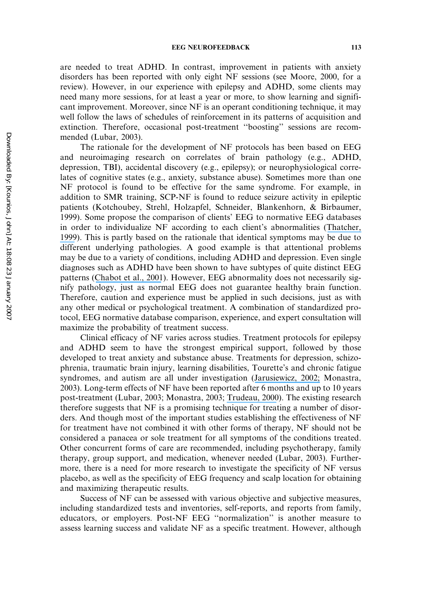are needed to treat ADHD. In contrast, improvement in patients with anxiety disorders has been reported with only eight NF sessions (see Moore, 2000, for a review). However, in our experience with epilepsy and ADHD, some clients may need many more sessions, for at least a year or more, to show learning and significant improvement. Moreover, since NF is an operant conditioning technique, it may well follow the laws of schedules of reinforcement in its patterns of acquisition and extinction. Therefore, occasional post-treatment ''boosting'' sessions are recommended (Lubar, 2003).

The rationale for the development of NF protocols has been based on EEG and neuroimaging research on correlates of brain pathology (e.g., ADHD, depression, TBI), accidental discovery (e.g., epilepsy); or neurophysiological correlates of cognitive states (e.g., anxiety, substance abuse). Sometimes more than one NF protocol is found to be effective for the same syndrome. For example, in addition to SMR training, SCP-NF is found to reduce seizure activity in epileptic patients (Kotchoubey, Strehl, Holzapfel, Schneider, Blankenhorn, & Birbaumer, 1999). Some propose the comparison of clients' EEG to normative EEG databases in order to individualize NF according to each client's abnormalities ([Thatcher,](https://www.researchgate.net/publication/279427691_EEG_Database-Guided_Neurotherapy?el=1_x_8&enrichId=rgreq-64016401d63b73918069ff9b8e8e6d4a-XXX&enrichSource=Y292ZXJQYWdlOzY0NDE2MzI7QVM6MTAxNjc4MDgyNjkxMDg5QDE0MDEyNTMzNTI4ODE=) [1999](https://www.researchgate.net/publication/279427691_EEG_Database-Guided_Neurotherapy?el=1_x_8&enrichId=rgreq-64016401d63b73918069ff9b8e8e6d4a-XXX&enrichSource=Y292ZXJQYWdlOzY0NDE2MzI7QVM6MTAxNjc4MDgyNjkxMDg5QDE0MDEyNTMzNTI4ODE=)). This is partly based on the rationale that identical symptoms may be due to different underlying pathologies. A good example is that attentional problems may be due to a variety of conditions, including ADHD and depression. Even single diagnoses such as ADHD have been shown to have subtypes of quite distinct EEG patterns ([Chabot et al., 2001](https://www.researchgate.net/publication/11892637_The_Clinical_Role_of_Computerized_EEG_in_the_Evaluation_and_Treatment_of_Learning_and_Attention_Disorders_in_Children_and_Adolescents?el=1_x_8&enrichId=rgreq-64016401d63b73918069ff9b8e8e6d4a-XXX&enrichSource=Y292ZXJQYWdlOzY0NDE2MzI7QVM6MTAxNjc4MDgyNjkxMDg5QDE0MDEyNTMzNTI4ODE=)). However, EEG abnormality does not necessarily signify pathology, just as normal EEG does not guarantee healthy brain function. Therefore, caution and experience must be applied in such decisions, just as with any other medical or psychological treatment. A combination of standardized protocol, EEG normative database comparison, experience, and expert consultation will maximize the probability of treatment success.

Clinical efficacy of NF varies across studies. Treatment protocols for epilepsy and ADHD seem to have the strongest empirical support, followed by those developed to treat anxiety and substance abuse. Treatments for depression, schizophrenia, traumatic brain injury, learning disabilities, Tourette's and chronic fatigue syndromes, and autism are all under investigation ([Jarusiewicz, 2002;](https://www.researchgate.net/publication/232956183_Efficacy_of_Neurofeedback_for_Children_in_the_Autistic_Spectrum_A_Pilot_Study?el=1_x_8&enrichId=rgreq-64016401d63b73918069ff9b8e8e6d4a-XXX&enrichSource=Y292ZXJQYWdlOzY0NDE2MzI7QVM6MTAxNjc4MDgyNjkxMDg5QDE0MDEyNTMzNTI4ODE=) Monastra, 2003). Long-term effects of NF have been reported after 6 months and up to 10 years post-treatment (Lubar, 2003; Monastra, 2003; [Trudeau, 2000](https://www.researchgate.net/publication/12676828_The_Treatment_of_Addictive_Disorders_by_Brain_Wave_Biofeedback_A_Review_and_Suggestions_for_Future_Research?el=1_x_8&enrichId=rgreq-64016401d63b73918069ff9b8e8e6d4a-XXX&enrichSource=Y292ZXJQYWdlOzY0NDE2MzI7QVM6MTAxNjc4MDgyNjkxMDg5QDE0MDEyNTMzNTI4ODE=)). The existing research therefore suggests that NF is a promising technique for treating a number of disorders. And though most of the important studies establishing the effectiveness of NF for treatment have not combined it with other forms of therapy, NF should not be considered a panacea or sole treatment for all symptoms of the conditions treated. Other concurrent forms of care are recommended, including psychotherapy, family therapy, group support, and medication, whenever needed (Lubar, 2003). Furthermore, there is a need for more research to investigate the specificity of NF versus placebo, as well as the specificity of EEG frequency and scalp location for obtaining and maximizing therapeutic results.

Success of NF can be assessed with various objective and subjective measures, including standardized tests and inventories, self-reports, and reports from family, educators, or employers. Post-NF EEG ''normalization'' is another measure to assess learning success and validate NF as a specific treatment. However, although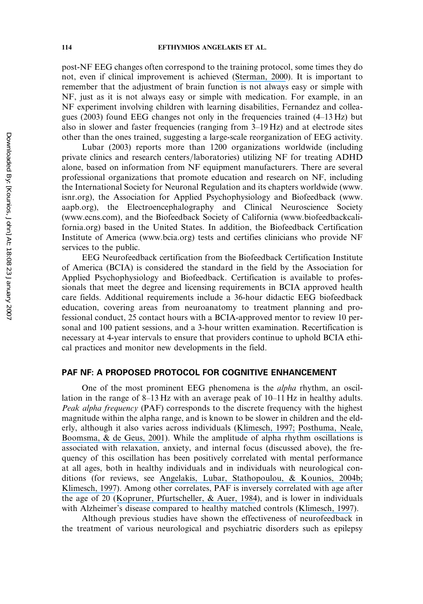post-NF EEG changes often correspond to the training protocol, some times they do not, even if clinical improvement is achieved ([Sterman, 2000](https://www.researchgate.net/publication/12676832_Basic_Concepts_and_Clinical_Findings_in_the_Treatment_of_Seizure_Disorders_with_EEG_Operant_Conditioning?el=1_x_8&enrichId=rgreq-64016401d63b73918069ff9b8e8e6d4a-XXX&enrichSource=Y292ZXJQYWdlOzY0NDE2MzI7QVM6MTAxNjc4MDgyNjkxMDg5QDE0MDEyNTMzNTI4ODE=)). It is important to remember that the adjustment of brain function is not always easy or simple with NF, just as it is not always easy or simple with medication. For example, in an NF experiment involving children with learning disabilities, Fernandez and colleagues (2003) found EEG changes not only in the frequencies trained (4–13 Hz) but also in slower and faster frequencies (ranging from 3–19 Hz) and at electrode sites other than the ones trained, suggesting a large-scale reorganization of EEG activity.

Lubar (2003) reports more than 1200 organizations worldwide (including private clinics and research centers/laboratories) utilizing NF for treating ADHD alone, based on information from NF equipment manufacturers. There are several professional organizations that promote education and research on NF, including the International Society for Neuronal Regulation and its chapters worldwide (www. isnr.org), the Association for Applied Psychophysiology and Biofeedback (www. aapb.org), the Electroencephalography and Clinical Neuroscience Society (www.ecns.com), and the Biofeedback Society of California (www.biofeedbackcalifornia.org) based in the United States. In addition, the Biofeedback Certification Institute of America (www.bcia.org) tests and certifies clinicians who provide NF services to the public.

EEG Neurofeedback certification from the Biofeedback Certification Institute of America (BCIA) is considered the standard in the field by the Association for Applied Psychophysiology and Biofeedback. Certification is available to professionals that meet the degree and licensing requirements in BCIA approved health care fields. Additional requirements include a 36-hour didactic EEG biofeedback education, covering areas from neuroanatomy to treatment planning and professional conduct, 25 contact hours with a BCIA-approved mentor to review 10 personal and 100 patient sessions, and a 3-hour written examination. Recertification is necessary at 4-year intervals to ensure that providers continue to uphold BCIA ethical practices and monitor new developments in the field.

# PAF NF: A PROPOSED PROTOCOL FOR COGNITIVE ENHANCEMENT

One of the most prominent EEG phenomena is the *alpha* rhythm, an oscillation in the range of 8–13 Hz with an average peak of 10–11 Hz in healthy adults. Peak alpha frequency (PAF) corresponds to the discrete frequency with the highest magnitude within the alpha range, and is known to be slower in children and the elderly, although it also varies across individuals ([Klimesch, 1997;](https://www.researchgate.net/publication/14016367_EEG-alpha_rhythms_and_memory_processes?el=1_x_8&enrichId=rgreq-64016401d63b73918069ff9b8e8e6d4a-XXX&enrichSource=Y292ZXJQYWdlOzY0NDE2MzI7QVM6MTAxNjc4MDgyNjkxMDg5QDE0MDEyNTMzNTI4ODE=) [Posthuma, Neale,](https://www.researchgate.net/publication/11521483_Are_Smarter_Brains_Running_Faster_Heritability_of_Alpha_Peak_Frequency_IQ_and_Their_Interrelation?el=1_x_8&enrichId=rgreq-64016401d63b73918069ff9b8e8e6d4a-XXX&enrichSource=Y292ZXJQYWdlOzY0NDE2MzI7QVM6MTAxNjc4MDgyNjkxMDg5QDE0MDEyNTMzNTI4ODE=) [Boomsma, & de Geus, 2001](https://www.researchgate.net/publication/11521483_Are_Smarter_Brains_Running_Faster_Heritability_of_Alpha_Peak_Frequency_IQ_and_Their_Interrelation?el=1_x_8&enrichId=rgreq-64016401d63b73918069ff9b8e8e6d4a-XXX&enrichSource=Y292ZXJQYWdlOzY0NDE2MzI7QVM6MTAxNjc4MDgyNjkxMDg5QDE0MDEyNTMzNTI4ODE=)). While the amplitude of alpha rhythm oscillations is associated with relaxation, anxiety, and internal focus (discussed above), the frequency of this oscillation has been positively correlated with mental performance at all ages, both in healthy individuals and in individuals with neurological conditions (for reviews, see [Angelakis, Lubar, Stathopoulou, & Kounios, 2004b;](https://www.researchgate.net/publication/7498849_Peak_alpha_frequency_An_electroencephalographic_measure_of_cognitive_preparedness?el=1_x_8&enrichId=rgreq-64016401d63b73918069ff9b8e8e6d4a-XXX&enrichSource=Y292ZXJQYWdlOzY0NDE2MzI7QVM6MTAxNjc4MDgyNjkxMDg5QDE0MDEyNTMzNTI4ODE=) [Klimesch, 1997](https://www.researchgate.net/publication/14016367_EEG-alpha_rhythms_and_memory_processes?el=1_x_8&enrichId=rgreq-64016401d63b73918069ff9b8e8e6d4a-XXX&enrichSource=Y292ZXJQYWdlOzY0NDE2MzI7QVM6MTAxNjc4MDgyNjkxMDg5QDE0MDEyNTMzNTI4ODE=)). Among other correlates, PAF is inversely correlated with age after the age of 20 (Kopruner, Pfurtscheller,  $\&$  Auer, 1984), and is lower in individuals with Alzheimer's disease compared to healthy matched controls ([Klimesch, 1997](https://www.researchgate.net/publication/14016367_EEG-alpha_rhythms_and_memory_processes?el=1_x_8&enrichId=rgreq-64016401d63b73918069ff9b8e8e6d4a-XXX&enrichSource=Y292ZXJQYWdlOzY0NDE2MzI7QVM6MTAxNjc4MDgyNjkxMDg5QDE0MDEyNTMzNTI4ODE=)).

Although previous studies have shown the effectiveness of neurofeedback in the treatment of various neurological and psychiatric disorders such as epilepsy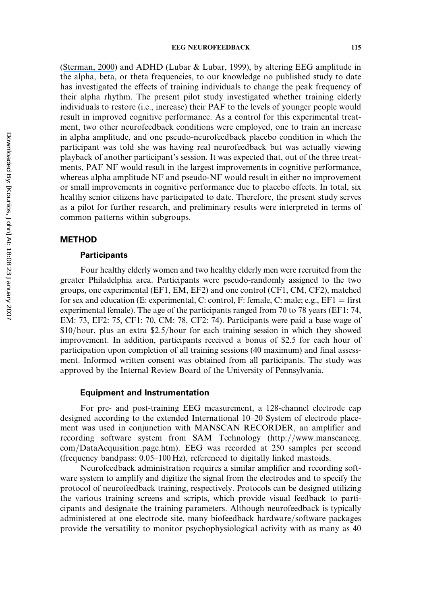([Sterman, 2000](https://www.researchgate.net/publication/12676832_Basic_Concepts_and_Clinical_Findings_in_the_Treatment_of_Seizure_Disorders_with_EEG_Operant_Conditioning?el=1_x_8&enrichId=rgreq-64016401d63b73918069ff9b8e8e6d4a-XXX&enrichSource=Y292ZXJQYWdlOzY0NDE2MzI7QVM6MTAxNjc4MDgyNjkxMDg5QDE0MDEyNTMzNTI4ODE=)) and ADHD (Lubar & Lubar, 1999), by altering EEG amplitude in the alpha, beta, or theta frequencies, to our knowledge no published study to date has investigated the effects of training individuals to change the peak frequency of their alpha rhythm. The present pilot study investigated whether training elderly individuals to restore (i.e., increase) their PAF to the levels of younger people would result in improved cognitive performance. As a control for this experimental treatment, two other neurofeedback conditions were employed, one to train an increase in alpha amplitude, and one pseudo-neurofeedback placebo condition in which the participant was told she was having real neurofeedback but was actually viewing playback of another participant's session. It was expected that, out of the three treatments, PAF NF would result in the largest improvements in cognitive performance, whereas alpha amplitude NF and pseudo-NF would result in either no improvement or small improvements in cognitive performance due to placebo effects. In total, six healthy senior citizens have participated to date. Therefore, the present study serves as a pilot for further research, and preliminary results were interpreted in terms of common patterns within subgroups.

### METHOD

### Participants

Four healthy elderly women and two healthy elderly men were recruited from the greater Philadelphia area. Participants were pseudo-randomly assigned to the two groups, one experimental (EF1, EM, EF2) and one control (CF1, CM, CF2), matched for sex and education (E: experimental, C: control, F: female, C: male; e.g.,  $EFI = first$ experimental female). The age of the participants ranged from 70 to 78 years (EF1: 74, EM: 73, EF2: 75, CF1: 70, CM: 78, CF2: 74). Participants were paid a base wage of  $$10/hour$ , plus an extra  $$2.5/hour$  for each training session in which they showed improvement. In addition, participants received a bonus of \$2.5 for each hour of participation upon completion of all training sessions (40 maximum) and final assessment. Informed written consent was obtained from all participants. The study was approved by the Internal Review Board of the University of Pennsylvania.

# Equipment and Instrumentation

For pre- and post-training EEG measurement, a 128-channel electrode cap designed according to the extended International 10–20 System of electrode placement was used in conjunction with MANSCAN RECORDER, an amplifier and recording software system from SAM Technology (http://www.manscaneeg. com/DataAcquisition\_page.htm). EEG was recorded at 250 samples per second (frequency bandpass: 0.05–100 Hz), referenced to digitally linked mastoids.

Neurofeedback administration requires a similar amplifier and recording software system to amplify and digitize the signal from the electrodes and to specify the protocol of neurofeedback training, respectively. Protocols can be designed utilizing the various training screens and scripts, which provide visual feedback to participants and designate the training parameters. Although neurofeedback is typically administered at one electrode site, many biofeedback hardware/software packages provide the versatility to monitor psychophysiological activity with as many as 40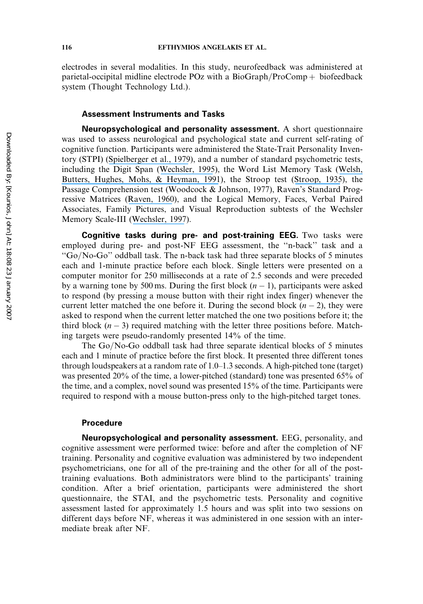electrodes in several modalities. In this study, neurofeedback was administered at parietal-occipital midline electrode POz with a BioGraph/ProComp  $+$  biofeedback system (Thought Technology Ltd.).

### Assessment Instruments and Tasks

Neuropsychological and personality assessment. A short questionnaire was used to assess neurological and psychological state and current self-rating of cognitive function. Participants were administered the State-Trait Personality Inventory (STPI) ([Spielberger et al., 1979](https://www.researchgate.net/publication/247454717_Scoring_Manual_for_the_State-Trait_Personality_Inventory?el=1_x_8&enrichId=rgreq-64016401d63b73918069ff9b8e8e6d4a-XXX&enrichSource=Y292ZXJQYWdlOzY0NDE2MzI7QVM6MTAxNjc4MDgyNjkxMDg5QDE0MDEyNTMzNTI4ODE=)), and a number of standard psychometric tests, including the Digit Span ([Wechsler, 1995](https://www.researchgate.net/publication/232494955_Manual_for_the_Wechsler_Adult_Intelligence_Scale-III?el=1_x_8&enrichId=rgreq-64016401d63b73918069ff9b8e8e6d4a-XXX&enrichSource=Y292ZXJQYWdlOzY0NDE2MzI7QVM6MTAxNjc4MDgyNjkxMDg5QDE0MDEyNTMzNTI4ODE=)), the Word List Memory Task ([Welsh,](https://www.researchgate.net/publication/21155196_Detection_of_Abnormal_Memory_Decline_in_Mild_Cases_of_Alzheimer) [Butters, Hughes, Mohs, & Heyman, 1991](https://www.researchgate.net/publication/21155196_Detection_of_Abnormal_Memory_Decline_in_Mild_Cases_of_Alzheimer)), the Stroop test ([Stroop, 1935](https://www.researchgate.net/publication/232533481_Studies_of_Interference_in_Serial_Verbal_Reactions?el=1_x_8&enrichId=rgreq-64016401d63b73918069ff9b8e8e6d4a-XXX&enrichSource=Y292ZXJQYWdlOzY0NDE2MzI7QVM6MTAxNjc4MDgyNjkxMDg5QDE0MDEyNTMzNTI4ODE=)), the Passage Comprehension test (Woodcock & Johnson, 1977), Raven's Standard Progressive Matrices ([Raven, 1960](https://www.researchgate.net/publication/246349179_Guide_to_Using_the_Standard_Progressive_Matrices?el=1_x_8&enrichId=rgreq-64016401d63b73918069ff9b8e8e6d4a-XXX&enrichSource=Y292ZXJQYWdlOzY0NDE2MzI7QVM6MTAxNjc4MDgyNjkxMDg5QDE0MDEyNTMzNTI4ODE=)), and the Logical Memory, Faces, Verbal Paired Associates, Family Pictures, and Visual Reproduction subtests of the Wechsler Memory Scale-III ([Wechsler, 1997](https://www.researchgate.net/publication/232494955_Manual_for_the_Wechsler_Adult_Intelligence_Scale-III?el=1_x_8&enrichId=rgreq-64016401d63b73918069ff9b8e8e6d4a-XXX&enrichSource=Y292ZXJQYWdlOzY0NDE2MzI7QVM6MTAxNjc4MDgyNjkxMDg5QDE0MDEyNTMzNTI4ODE=)).

Cognitive tasks during pre- and post-training EEG. Two tasks were employed during pre- and post-NF EEG assessment, the ''n-back'' task and a "Go/No-Go" oddball task. The n-back task had three separate blocks of 5 minutes each and 1-minute practice before each block. Single letters were presented on a computer monitor for 250 milliseconds at a rate of 2.5 seconds and were preceded by a warning tone by 500 ms. During the first block  $(n - 1)$ , participants were asked to respond (by pressing a mouse button with their right index finger) whenever the current letter matched the one before it. During the second block  $(n - 2)$ , they were asked to respond when the current letter matched the one two positions before it; the third block  $(n - 3)$  required matching with the letter three positions before. Matching targets were pseudo-randomly presented 14% of the time.

The Go/No-Go oddball task had three separate identical blocks of 5 minutes each and 1 minute of practice before the first block. It presented three different tones through loudspeakers at a random rate of 1.0–1.3 seconds. A high-pitched tone (target) was presented 20% of the time, a lower-pitched (standard) tone was presented 65% of the time, and a complex, novel sound was presented 15% of the time. Participants were required to respond with a mouse button-press only to the high-pitched target tones.

# Procedure

Neuropsychological and personality assessment. EEG, personality, and cognitive assessment were performed twice: before and after the completion of NF training. Personality and cognitive evaluation was administered by two independent psychometricians, one for all of the pre-training and the other for all of the posttraining evaluations. Both administrators were blind to the participants' training condition. After a brief orientation, participants were administered the short questionnaire, the STAI, and the psychometric tests. Personality and cognitive assessment lasted for approximately 1.5 hours and was split into two sessions on different days before NF, whereas it was administered in one session with an intermediate break after NF.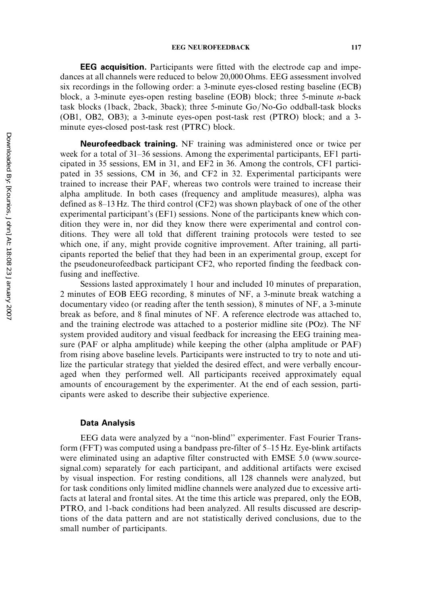**EEG acquisition.** Participants were fitted with the electrode cap and impedances at all channels were reduced to below 20,000 Ohms. EEG assessment involved six recordings in the following order: a 3-minute eyes-closed resting baseline (ECB) block, a 3-minute eyes-open resting baseline (EOB) block; three 5-minute  $n$ -back task blocks (1back, 2back, 3back); three 5-minute Go/No-Go oddball-task blocks (OB1, OB2, OB3); a 3-minute eyes-open post-task rest (PTRO) block; and a 3 minute eyes-closed post-task rest (PTRC) block.

Neurofeedback training. NF training was administered once or twice per week for a total of 31–36 sessions. Among the experimental participants, EF1 participated in 35 sessions, EM in 31, and EF2 in 36. Among the controls, CF1 participated in 35 sessions, CM in 36, and CF2 in 32. Experimental participants were trained to increase their PAF, whereas two controls were trained to increase their alpha amplitude. In both cases (frequency and amplitude measures), alpha was defined as 8–13 Hz. The third control (CF2) was shown playback of one of the other experimental participant's (EF1) sessions. None of the participants knew which condition they were in, nor did they know there were experimental and control conditions. They were all told that different training protocols were tested to see which one, if any, might provide cognitive improvement. After training, all participants reported the belief that they had been in an experimental group, except for the pseudoneurofeedback participant CF2, who reported finding the feedback confusing and ineffective.

Sessions lasted approximately 1 hour and included 10 minutes of preparation, 2 minutes of EOB EEG recording, 8 minutes of NF, a 3-minute break watching a documentary video (or reading after the tenth session), 8 minutes of NF, a 3-minute break as before, and 8 final minutes of NF. A reference electrode was attached to, and the training electrode was attached to a posterior midline site (POz). The NF system provided auditory and visual feedback for increasing the EEG training measure (PAF or alpha amplitude) while keeping the other (alpha amplitude or PAF) from rising above baseline levels. Participants were instructed to try to note and utilize the particular strategy that yielded the desired effect, and were verbally encouraged when they performed well. All participants received approximately equal amounts of encouragement by the experimenter. At the end of each session, participants were asked to describe their subjective experience.

# Data Analysis

EEG data were analyzed by a ''non-blind'' experimenter. Fast Fourier Transform (FFT) was computed using a bandpass pre-filter of 5–15 Hz. Eye-blink artifacts were eliminated using an adaptive filter constructed with EMSE 5.0 (www.sourcesignal.com) separately for each participant, and additional artifacts were excised by visual inspection. For resting conditions, all 128 channels were analyzed, but for task conditions only limited midline channels were analyzed due to excessive artifacts at lateral and frontal sites. At the time this article was prepared, only the EOB, PTRO, and 1-back conditions had been analyzed. All results discussed are descriptions of the data pattern and are not statistically derived conclusions, due to the small number of participants.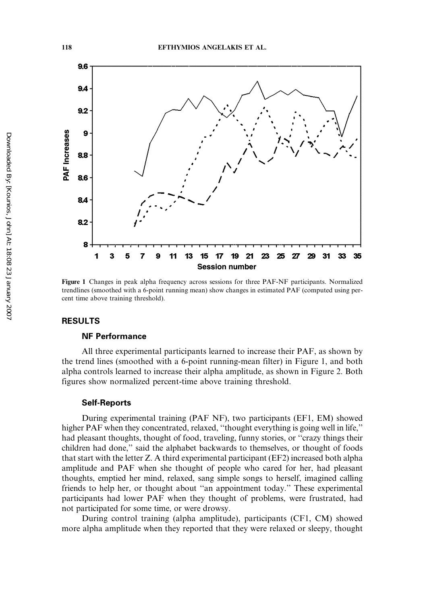

Figure 1 Changes in peak alpha frequency across sessions for three PAF-NF participants. Normalized trendlines (smoothed with a 6-point running mean) show changes in estimated PAF (computed using percent time above training threshold).

# RESULTS

### NF Performance

All three experimental participants learned to increase their PAF, as shown by the trend lines (smoothed with a 6-point running-mean filter) in Figure 1, and both alpha controls learned to increase their alpha amplitude, as shown in Figure 2. Both figures show normalized percent-time above training threshold.

### Self-Reports

During experimental training (PAF NF), two participants (EF1, EM) showed higher PAF when they concentrated, relaxed, "thought everything is going well in life," had pleasant thoughts, thought of food, traveling, funny stories, or ''crazy things their children had done,'' said the alphabet backwards to themselves, or thought of foods that start with the letter Z. A third experimental participant (EF2) increased both alpha amplitude and PAF when she thought of people who cared for her, had pleasant thoughts, emptied her mind, relaxed, sang simple songs to herself, imagined calling friends to help her, or thought about ''an appointment today.'' These experimental participants had lower PAF when they thought of problems, were frustrated, had not participated for some time, or were drowsy.

During control training (alpha amplitude), participants (CF1, CM) showed more alpha amplitude when they reported that they were relaxed or sleepy, thought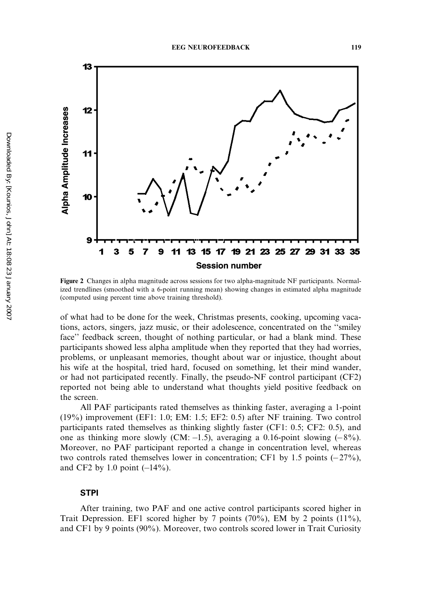

Figure 2 Changes in alpha magnitude across sessions for two alpha-magnitude NF participants. Normalized trendlines (smoothed with a 6-point running mean) showing changes in estimated alpha magnitude (computed using percent time above training threshold).

of what had to be done for the week, Christmas presents, cooking, upcoming vacations, actors, singers, jazz music, or their adolescence, concentrated on the ''smiley face'' feedback screen, thought of nothing particular, or had a blank mind. These participants showed less alpha amplitude when they reported that they had worries, problems, or unpleasant memories, thought about war or injustice, thought about his wife at the hospital, tried hard, focused on something, let their mind wander, or had not participated recently. Finally, the pseudo-NF control participant (CF2) reported not being able to understand what thoughts yield positive feedback on the screen.

All PAF participants rated themselves as thinking faster, averaging a 1-point (19%) improvement (EF1: 1.0; EM: 1.5; EF2: 0.5) after NF training. Two control participants rated themselves as thinking slightly faster (CF1: 0.5; CF2: 0.5), and one as thinking more slowly (CM:  $-1.5$ ), averaging a 0.16-point slowing  $(-8\%)$ . Moreover, no PAF participant reported a change in concentration level, whereas two controls rated themselves lower in concentration; CF1 by 1.5 points  $(-27\%)$ , and CF2 by 1.0 point  $(-14%)$ .

# **STPI**

After training, two PAF and one active control participants scored higher in Trait Depression. EF1 scored higher by 7 points (70%), EM by 2 points (11%), and CF1 by 9 points (90%). Moreover, two controls scored lower in Trait Curiosity

Downloaded By: [Kounios, John] At: 18:08 23 January 2007

Downloaded By: [Kounios, John] At: 18:08 23 January 2007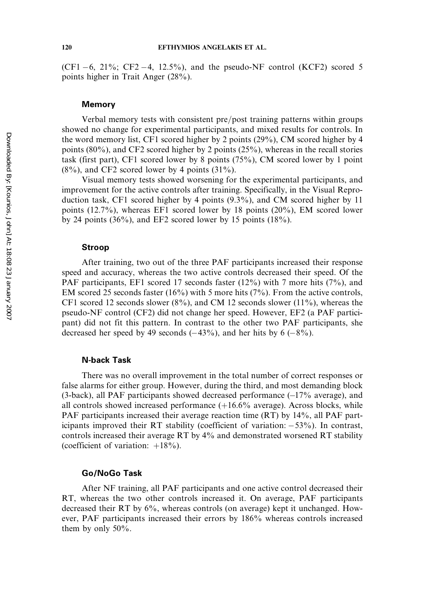(CF1 -6, 21%; CF2 -4, 12.5%), and the pseudo-NF control (KCF2) scored 5 points higher in Trait Anger (28%).

### Memory

Verbal memory tests with consistent pre/post training patterns within groups showed no change for experimental participants, and mixed results for controls. In the word memory list, CF1 scored higher by 2 points (29%), CM scored higher by 4 points (80%), and CF2 scored higher by 2 points (25%), whereas in the recall stories task (first part), CF1 scored lower by 8 points (75%), CM scored lower by 1 point  $(8\%)$ , and CF2 scored lower by 4 points  $(31\%)$ .

Visual memory tests showed worsening for the experimental participants, and improvement for the active controls after training. Specifically, in the Visual Reproduction task, CF1 scored higher by 4 points (9.3%), and CM scored higher by 11 points (12.7%), whereas EF1 scored lower by 18 points (20%), EM scored lower by 24 points  $(36\%)$ , and EF2 scored lower by 15 points  $(18\%)$ .

### Stroop

After training, two out of the three PAF participants increased their response speed and accuracy, whereas the two active controls decreased their speed. Of the PAF participants, EF1 scored 17 seconds faster (12%) with 7 more hits (7%), and EM scored 25 seconds faster  $(16\%)$  with 5 more hits  $(7\%)$ . From the active controls, CF1 scored 12 seconds slower  $(8\%)$ , and CM 12 seconds slower  $(11\%)$ , whereas the pseudo-NF control (CF2) did not change her speed. However, EF2 (a PAF participant) did not fit this pattern. In contrast to the other two PAF participants, she decreased her speed by 49 seconds  $(-43\%)$ , and her hits by 6  $(-8\%)$ .

#### N-back Task

There was no overall improvement in the total number of correct responses or false alarms for either group. However, during the third, and most demanding block (3-back), all PAF participants showed decreased performance  $(-17%$  average), and all controls showed increased performance  $(+16.6\%$  average). Across blocks, while PAF participants increased their average reaction time (RT) by 14%, all PAF participants improved their RT stability (coefficient of variation:  $-53\%$ ). In contrast, controls increased their average RT by 4% and demonstrated worsened RT stability (coefficient of variation:  $+18%$ ).

### Go/NoGo Task

After NF training, all PAF participants and one active control decreased their RT, whereas the two other controls increased it. On average, PAF participants decreased their RT by 6%, whereas controls (on average) kept it unchanged. However, PAF participants increased their errors by 186% whereas controls increased them by only  $50\%$ .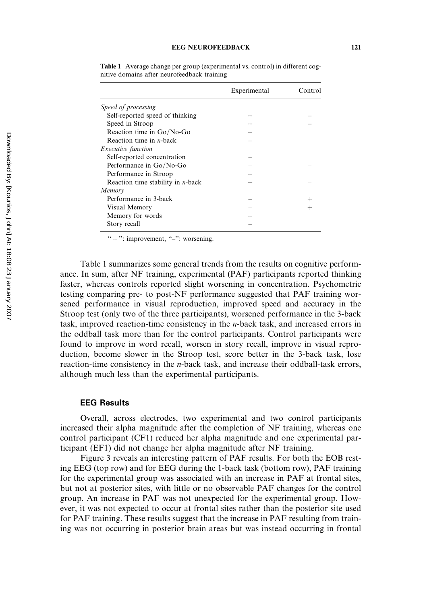|                                      | Experimental       | Control |
|--------------------------------------|--------------------|---------|
| Speed of processing                  |                    |         |
| Self-reported speed of thinking      |                    |         |
| Speed in Stroop                      |                    |         |
| Reaction time in Go/No-Go            | $\hspace{0.1mm} +$ |         |
| Reaction time in <i>n</i> -back      |                    |         |
| <i>Executive function</i>            |                    |         |
| Self-reported concentration          |                    |         |
| Performance in Go/No-Go              |                    |         |
| Performance in Stroop                |                    |         |
| Reaction time stability in $n$ -back | $^+$               |         |
| Memory                               |                    |         |
| Performance in 3-back                |                    |         |
| Visual Memory                        |                    |         |
| Memory for words                     |                    |         |
| Story recall                         |                    |         |
|                                      |                    |         |

Table 1 Average change per group (experimental vs. control) in different cognitive domains after neurofeedback training

" + ": improvement, "-": worsening.

Table 1 summarizes some general trends from the results on cognitive performance. In sum, after NF training, experimental (PAF) participants reported thinking faster, whereas controls reported slight worsening in concentration. Psychometric testing comparing pre- to post-NF performance suggested that PAF training worsened performance in visual reproduction, improved speed and accuracy in the Stroop test (only two of the three participants), worsened performance in the 3-back task, improved reaction-time consistency in the n-back task, and increased errors in the oddball task more than for the control participants. Control participants were found to improve in word recall, worsen in story recall, improve in visual reproduction, become slower in the Stroop test, score better in the 3-back task, lose reaction-time consistency in the  $n$ -back task, and increase their oddball-task errors, although much less than the experimental participants.

#### EEG Results

Overall, across electrodes, two experimental and two control participants increased their alpha magnitude after the completion of NF training, whereas one control participant (CF1) reduced her alpha magnitude and one experimental participant (EF1) did not change her alpha magnitude after NF training.

Figure 3 reveals an interesting pattern of PAF results. For both the EOB resting EEG (top row) and for EEG during the 1-back task (bottom row), PAF training for the experimental group was associated with an increase in PAF at frontal sites, but not at posterior sites, with little or no observable PAF changes for the control group. An increase in PAF was not unexpected for the experimental group. However, it was not expected to occur at frontal sites rather than the posterior site used for PAF training. These results suggest that the increase in PAF resulting from training was not occurring in posterior brain areas but was instead occurring in frontal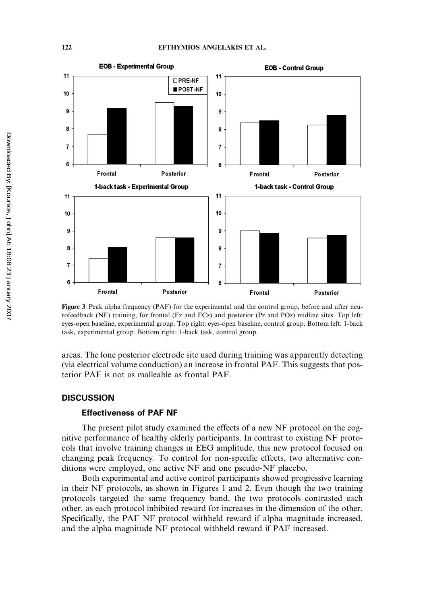

Figure 3 Peak alpha frequency (PAF) for the experimental and the control group, before and after neurofeedback (NF) training, for frontal (Fz and FCz) and posterior (Pz and POz) midline sites. Top left: eyes-open baseline, experimental group. Top right: eyes-open baseline, control group. Bottom left: 1-back task, experimental group. Bottom right: 1-back task, control group.

areas. The lone posterior electrode site used during training was apparently detecting (via electrical volume conduction) an increase in frontal PAF. This suggests that posterior PAF is not as malleable as frontal PAF.

# **DISCUSSION**

# Effectiveness of PAF NF

The present pilot study examined the effects of a new NF protocol on the cognitive performance of healthy elderly participants. In contrast to existing NF protocols that involve training changes in EEG amplitude, this new protocol focused on changing peak frequency. To control for non-specific effects, two alternative conditions were employed, one active NF and one pseudo-NF placebo.

Both experimental and active control participants showed progressive learning in their NF protocols, as shown in Figures 1 and 2. Even though the two training protocols targeted the same frequency band, the two protocols contrasted each other, as each protocol inhibited reward for increases in the dimension of the other. Specifically, the PAF NF protocol withheld reward if alpha magnitude increased, and the alpha magnitude NF protocol withheld reward if PAF increased.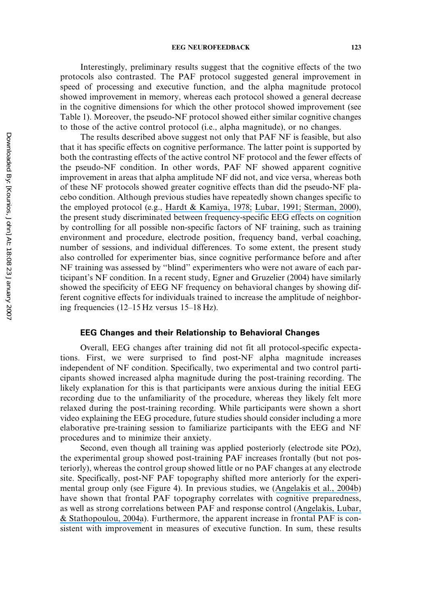Interestingly, preliminary results suggest that the cognitive effects of the two protocols also contrasted. The PAF protocol suggested general improvement in speed of processing and executive function, and the alpha magnitude protocol showed improvement in memory, whereas each protocol showed a general decrease in the cognitive dimensions for which the other protocol showed improvement (see Table 1). Moreover, the pseudo-NF protocol showed either similar cognitive changes to those of the active control protocol (i.e., alpha magnitude), or no changes.

The results described above suggest not only that PAF NF is feasible, but also that it has specific effects on cognitive performance. The latter point is supported by both the contrasting effects of the active control NF protocol and the fewer effects of the pseudo-NF condition. In other words, PAF NF showed apparent cognitive improvement in areas that alpha amplitude NF did not, and vice versa, whereas both of these NF protocols showed greater cognitive effects than did the pseudo-NF placebo condition. Although previous studies have repeatedly shown changes specific to the employed protocol (e.g., [Hardt & Kamiya, 1978;](https://www.researchgate.net/publication/22477949_Anxiety_Change_Through_Electroencepha-Lographic_Alpha_Feedback_Seen_Only_in_High_Anxiety_Subjects?el=1_x_8&enrichId=rgreq-64016401d63b73918069ff9b8e8e6d4a-XXX&enrichSource=Y292ZXJQYWdlOzY0NDE2MzI7QVM6MTAxNjc4MDgyNjkxMDg5QDE0MDEyNTMzNTI4ODE=) [Lubar, 1991;](https://www.researchgate.net/publication/21224249_Discourse_on_the_development_of_EEG_diagnostics_and_biofeedback_for_attention-deficithyperactivity_disorders?el=1_x_8&enrichId=rgreq-64016401d63b73918069ff9b8e8e6d4a-XXX&enrichSource=Y292ZXJQYWdlOzY0NDE2MzI7QVM6MTAxNjc4MDgyNjkxMDg5QDE0MDEyNTMzNTI4ODE=) [Sterman, 2000](https://www.researchgate.net/publication/12676832_Basic_Concepts_and_Clinical_Findings_in_the_Treatment_of_Seizure_Disorders_with_EEG_Operant_Conditioning?el=1_x_8&enrichId=rgreq-64016401d63b73918069ff9b8e8e6d4a-XXX&enrichSource=Y292ZXJQYWdlOzY0NDE2MzI7QVM6MTAxNjc4MDgyNjkxMDg5QDE0MDEyNTMzNTI4ODE=)), the present study discriminated between frequency-specific EEG effects on cognition by controlling for all possible non-specific factors of NF training, such as training environment and procedure, electrode position, frequency band, verbal coaching, number of sessions, and individual differences. To some extent, the present study also controlled for experimenter bias, since cognitive performance before and after NF training was assessed by ''blind'' experimenters who were not aware of each participant's NF condition. In a recent study, Egner and Gruzelier (2004) have similarly showed the specificity of EEG NF frequency on behavioral changes by showing different cognitive effects for individuals trained to increase the amplitude of neighboring frequencies (12–15 Hz versus 15–18 Hz).

# EEG Changes and their Relationship to Behavioral Changes

Overall, EEG changes after training did not fit all protocol-specific expectations. First, we were surprised to find post-NF alpha magnitude increases independent of NF condition. Specifically, two experimental and two control participants showed increased alpha magnitude during the post-training recording. The likely explanation for this is that participants were anxious during the initial EEG recording due to the unfamiliarity of the procedure, whereas they likely felt more relaxed during the post-training recording. While participants were shown a short video explaining the EEG procedure, future studies should consider including a more elaborative pre-training session to familiarize participants with the EEG and NF procedures and to minimize their anxiety.

Second, even though all training was applied posteriorly (electrode site POz), the experimental group showed post-training PAF increases frontally (but not posteriorly), whereas the control group showed little or no PAF changes at any electrode site. Specifically, post-NF PAF topography shifted more anteriorly for the experimental group only (see Figure 4). In previous studies, we ([Angelakis et al., 2004b](https://www.researchgate.net/publication/7498849_Peak_alpha_frequency_An_electroencephalographic_measure_of_cognitive_preparedness?el=1_x_8&enrichId=rgreq-64016401d63b73918069ff9b8e8e6d4a-XXX&enrichSource=Y292ZXJQYWdlOzY0NDE2MzI7QVM6MTAxNjc4MDgyNjkxMDg5QDE0MDEyNTMzNTI4ODE=)) have shown that frontal PAF topography correlates with cognitive preparedness, as well as strong correlations between PAF and response control ([Angelakis, Lubar,](https://www.researchgate.net/publication/8216025_Electroencephalographic_peak_alpha_frequency_correlates_of_cognitive_traits?el=1_x_8&enrichId=rgreq-64016401d63b73918069ff9b8e8e6d4a-XXX&enrichSource=Y292ZXJQYWdlOzY0NDE2MzI7QVM6MTAxNjc4MDgyNjkxMDg5QDE0MDEyNTMzNTI4ODE=) [& Stathopoulou, 2004a](https://www.researchgate.net/publication/8216025_Electroencephalographic_peak_alpha_frequency_correlates_of_cognitive_traits?el=1_x_8&enrichId=rgreq-64016401d63b73918069ff9b8e8e6d4a-XXX&enrichSource=Y292ZXJQYWdlOzY0NDE2MzI7QVM6MTAxNjc4MDgyNjkxMDg5QDE0MDEyNTMzNTI4ODE=)). Furthermore, the apparent increase in frontal PAF is consistent with improvement in measures of executive function. In sum, these results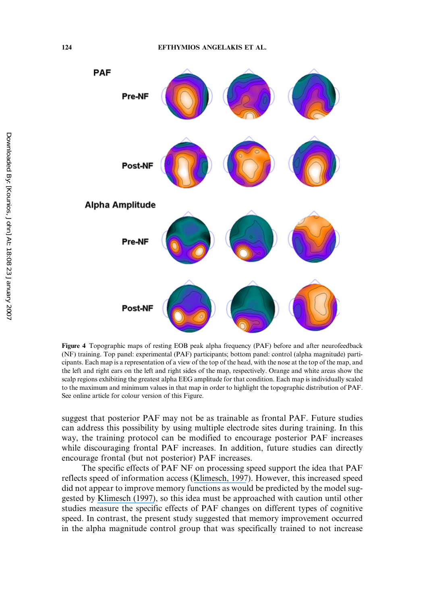

Figure 4 Topographic maps of resting EOB peak alpha frequency (PAF) before and after neurofeedback (NF) training. Top panel: experimental (PAF) participants; bottom panel: control (alpha magnitude) participants. Each map is a representation of a view of the top of the head, with the nose at the top of the map, and the left and right ears on the left and right sides of the map, respectively. Orange and white areas show the scalp regions exhibiting the greatest alpha EEG amplitude for that condition. Each map is individually scaled to the maximum and minimum values in that map in order to highlight the topographic distribution of PAF. See online article for colour version of this Figure.

suggest that posterior PAF may not be as trainable as frontal PAF. Future studies can address this possibility by using multiple electrode sites during training. In this way, the training protocol can be modified to encourage posterior PAF increases while discouraging frontal PAF increases. In addition, future studies can directly encourage frontal (but not posterior) PAF increases.

The specific effects of PAF NF on processing speed support the idea that PAF reflects speed of information access ([Klimesch, 1997](https://www.researchgate.net/publication/14016367_EEG-alpha_rhythms_and_memory_processes?el=1_x_8&enrichId=rgreq-64016401d63b73918069ff9b8e8e6d4a-XXX&enrichSource=Y292ZXJQYWdlOzY0NDE2MzI7QVM6MTAxNjc4MDgyNjkxMDg5QDE0MDEyNTMzNTI4ODE=)). However, this increased speed did not appear to improve memory functions as would be predicted by the model suggested by [Klimesch \(1997\)](https://www.researchgate.net/publication/14016367_EEG-alpha_rhythms_and_memory_processes?el=1_x_8&enrichId=rgreq-64016401d63b73918069ff9b8e8e6d4a-XXX&enrichSource=Y292ZXJQYWdlOzY0NDE2MzI7QVM6MTAxNjc4MDgyNjkxMDg5QDE0MDEyNTMzNTI4ODE=), so this idea must be approached with caution until other studies measure the specific effects of PAF changes on different types of cognitive speed. In contrast, the present study suggested that memory improvement occurred in the alpha magnitude control group that was specifically trained to not increase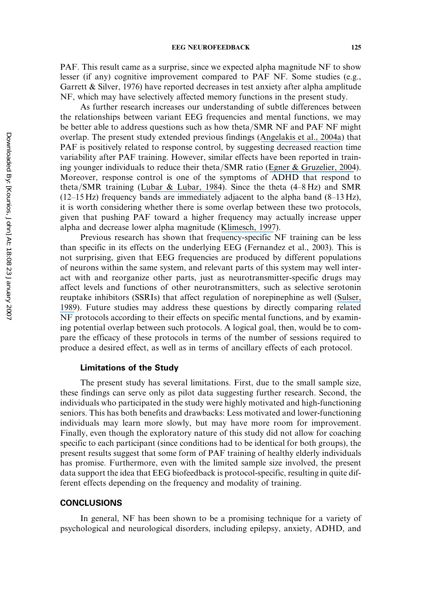PAF. This result came as a surprise, since we expected alpha magnitude NF to show lesser (if any) cognitive improvement compared to PAF NF. Some studies (e.g., Garrett & Silver, 1976) have reported decreases in test anxiety after alpha amplitude NF, which may have selectively affected memory functions in the present study.

As further research increases our understanding of subtle differences between the relationships between variant EEG frequencies and mental functions, we may be better able to address questions such as how theta/SMR NF and PAF NF might overlap. The present study extended previous findings ([Angelakis et al., 2004a](https://www.researchgate.net/publication/8216025_Electroencephalographic_peak_alpha_frequency_correlates_of_cognitive_traits?el=1_x_8&enrichId=rgreq-64016401d63b73918069ff9b8e8e6d4a-XXX&enrichSource=Y292ZXJQYWdlOzY0NDE2MzI7QVM6MTAxNjc4MDgyNjkxMDg5QDE0MDEyNTMzNTI4ODE=)) that PAF is positively related to response control, by suggesting decreased reaction time variability after PAF training. However, similar effects have been reported in training younger individuals to reduce their theta/SMR ratio (Egner  $&$  Gruzelier, 2004). Moreover, response control is one of the symptoms of ADHD that respond to theta/SMR training ([Lubar & Lubar, 1984](https://www.researchgate.net/publication/16707978_Electroencephalographic_biofeedback_of_SMR_and_beta_for_treatment_of_attention_deficit_disorders_in_a_clinical_setting?el=1_x_8&enrichId=rgreq-64016401d63b73918069ff9b8e8e6d4a-XXX&enrichSource=Y292ZXJQYWdlOzY0NDE2MzI7QVM6MTAxNjc4MDgyNjkxMDg5QDE0MDEyNTMzNTI4ODE=)). Since the theta  $(4-8 Hz)$  and SMR (12–15 Hz) frequency bands are immediately adjacent to the alpha band (8–13 Hz), it is worth considering whether there is some overlap between these two protocols, given that pushing PAF toward a higher frequency may actually increase upper alpha and decrease lower alpha magnitude ([Klimesch, 1997](https://www.researchgate.net/publication/14016367_EEG-alpha_rhythms_and_memory_processes?el=1_x_8&enrichId=rgreq-64016401d63b73918069ff9b8e8e6d4a-XXX&enrichSource=Y292ZXJQYWdlOzY0NDE2MzI7QVM6MTAxNjc4MDgyNjkxMDg5QDE0MDEyNTMzNTI4ODE=)).

Previous research has shown that frequency-specific NF training can be less than specific in its effects on the underlying EEG (Fernandez et al., 2003). This is not surprising, given that EEG frequencies are produced by different populations of neurons within the same system, and relevant parts of this system may well interact with and reorganize other parts, just as neurotransmitter-specific drugs may affect levels and functions of other neurotransmitters, such as selective serotonin reuptake inhibitors (SSRIs) that affect regulation of norepinephine as well ([Sulser,](https://www.researchgate.net/publication/20607021_New_perspectives_on_the_molecular_pharmacology_of_affective_disorders?el=1_x_8&enrichId=rgreq-64016401d63b73918069ff9b8e8e6d4a-XXX&enrichSource=Y292ZXJQYWdlOzY0NDE2MzI7QVM6MTAxNjc4MDgyNjkxMDg5QDE0MDEyNTMzNTI4ODE=) [1989](https://www.researchgate.net/publication/20607021_New_perspectives_on_the_molecular_pharmacology_of_affective_disorders?el=1_x_8&enrichId=rgreq-64016401d63b73918069ff9b8e8e6d4a-XXX&enrichSource=Y292ZXJQYWdlOzY0NDE2MzI7QVM6MTAxNjc4MDgyNjkxMDg5QDE0MDEyNTMzNTI4ODE=)). Future studies may address these questions by directly comparing related NF protocols according to their effects on specific mental functions, and by examining potential overlap between such protocols. A logical goal, then, would be to compare the efficacy of these protocols in terms of the number of sessions required to produce a desired effect, as well as in terms of ancillary effects of each protocol.

### Limitations of the Study

The present study has several limitations. First, due to the small sample size, these findings can serve only as pilot data suggesting further research. Second, the individuals who participated in the study were highly motivated and high-functioning seniors. This has both benefits and drawbacks: Less motivated and lower-functioning individuals may learn more slowly, but may have more room for improvement. Finally, even though the exploratory nature of this study did not allow for coaching specific to each participant (since conditions had to be identical for both groups), the present results suggest that some form of PAF training of healthy elderly individuals has promise. Furthermore, even with the limited sample size involved, the present data support the idea that EEG biofeedback is protocol-specific, resulting in quite different effects depending on the frequency and modality of training.

### **CONCLUSIONS**

In general, NF has been shown to be a promising technique for a variety of psychological and neurological disorders, including epilepsy, anxiety, ADHD, and